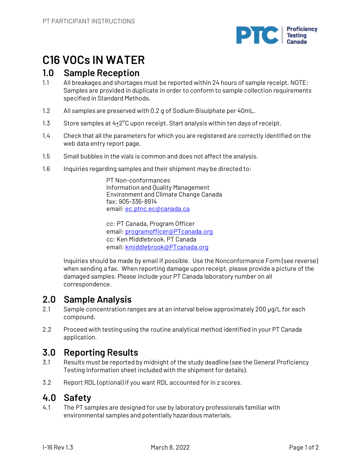

# **C16 VOCs IN WATER**

## **1.0 Sample Reception**

- 1.1 All breakages and shortages must be reported within 24 hours of sample receipt. NOTE: Samples are provided in duplicate in order to conform to sample collection requirements specified in Standard Methods.
- 1.2 All samples are preserved with 0.2 g of Sodium Bisulphate per 40mL.
- 1.3 Store samples at  $4\pm 2^{\circ}$ C upon receipt. Start analysis within ten days of receipt.
- 1.4 Check that all the parameters for which you are registered are correctly identified on the web data entry report page.
- 1.5 Small bubbles in the vials is common and does not affect the analysis.
- 1.6 Inquiries regarding samples and their shipment may be directed to:

PT Non-conformances Information and Quality Management Environment and Climate Change Canada fax: 905-336-8914 email: ec.ptnc.ec@canada.ca

cc: PT Canada, Program Officer email: programofficer@PTcanada.org cc: Ken Middlebrook, PT Canada email: kmiddlebrook@PTcanada.org

Inquiries should be made by email if possible. Use the Nonconformance Form (see reverse) when sending a fax. When reporting damage upon receipt, please provide a picture of the damaged samples. Please include your PT Canada laboratory number on all correspondence.

# **2.0 Sample Analysis**

- 2.1 Sample concentration ranges are at an interval below approximately 200 µg/L for each compound.
- 2.2 Proceed with testing using the routine analytical method identified in your PT Canada application.

# **3.0 Reporting Results**

- 3.1 Results must be reported by midnight of the study deadline (see the General Proficiency Testing Information sheet included with the shipment for details).
- 3.2 Report RDL (optional) if you want RDL accounted for in z scores.

## **4.0 Safety**

4.1 The PT samples are designed for use by laboratory professionals familiar with environmental samples and potentially hazardous materials.